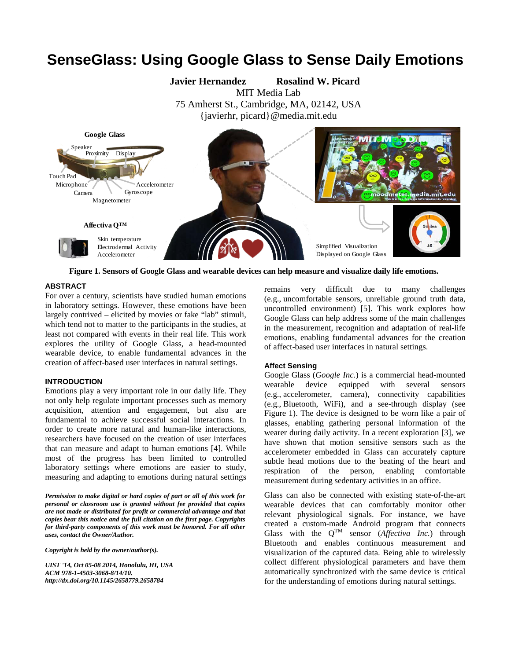# **SenseGlass: Using Google Glass to Sense Daily Emotions**



**Figure 1. Sensors of Google Glass and wearable devices can help measure and visualize daily life emotions.** 

## **ABSTRACT**

For over a century, scientists have studied human emotions in laboratory settings. However, these emotions have been largely contrived – elicited by movies or fake "lab" stimuli, which tend not to matter to the participants in the studies, at least not compared with events in their real life. This work explores the utility of Google Glass, a head-mounted wearable device, to enable fundamental advances in the creation of affect-based user interfaces in natural settings.

# **INTRODUCTION**

Emotions play a very important role in our daily life. They not only help regulate important processes such as memory acquisition, attention and engagement, but also are fundamental to achieve successful social interactions. In order to create more natural and human-like interactions, researchers have focused on the creation of user interfaces that can measure and adapt to human emotions [\[4\]](#page-1-0). While most of the progress has been limited to controlled laboratory settings where emotions are easier to study, measuring and adapting to emotions during natural settings

*Permission to make digital or hard copies of part or all of this work for personal or classroom use is granted without fee provided that copies are not made or distributed for profit or commercial advantage and that copies bear this notice and the full citation on the first page. Copyrights for third-party components of this work must be honored. For all other uses, contact the Owner/Author.*

*Copyright is held by the owner/author(s).*

*UIST '14, Oct 05-08 2014, Honolulu, HI, USA ACM 978-1-4503-3068-8/14/10. http://dx.doi.org/10.1145/2658779.2658784* 

remains very difficult due to many challenges (e.g., uncomfortable sensors, unreliable ground truth data, uncontrolled environment) [\[5\]](#page-1-1). This work explores how Google Glass can help address some of the main challenges in the measurement, recognition and adaptation of real-life emotions, enabling fundamental advances for the creation of affect-based user interfaces in natural settings.

# **Affect Sensing**

Google Glass (*Google Inc.*) is a commercial head-mounted wearable device equipped with several sensors (e.g., accelerometer, camera), connectivity capabilities (e.g., Bluetooth, WiFi), and a see-through display (see Figure 1). The device is designed to be worn like a pair of glasses, enabling gathering personal information of the wearer during daily activity. In a recent exploration [\[3\]](#page-1-2), we have shown that motion sensitive sensors such as the accelerometer embedded in Glass can accurately capture subtle head motions due to the beating of the heart and respiration of the person, enabling comfortable measurement during sedentary activities in an office.

Glass can also be connected with existing state-of-the-art wearable devices that can comfortably monitor other relevant physiological signals. For instance, we have created a custom-made Android program that connects Glass with the  $Q^{TM}$  sensor (*Affectiva Inc.*) through Bluetooth and enables continuous measurement and visualization of the captured data. Being able to wirelessly collect different physiological parameters and have them automatically synchronized with the same device is critical for the understanding of emotions during natural settings.